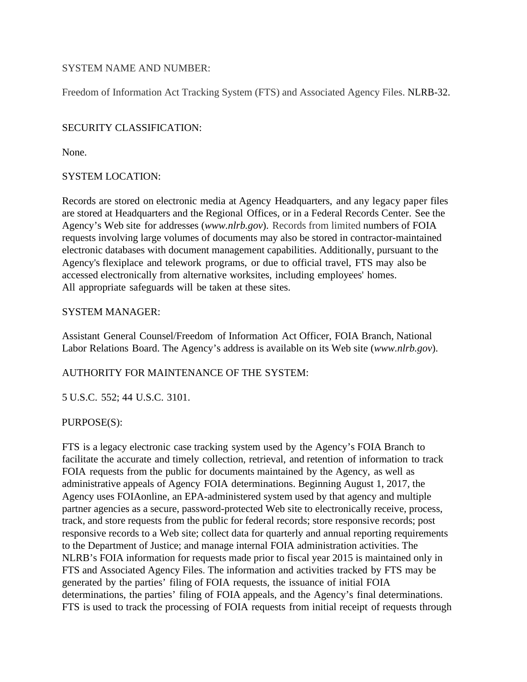## SYSTEM NAME AND NUMBER:

Freedom of Information Act Tracking System (FTS) and Associated Agency Files. NLRB-32.

## SECURITY CLASSIFICATION:

None.

## SYSTEM LOCATION:

Records are stored on electronic media at Agency Headquarters, and any legacy paper files are stored at Headquarters and the Regional Offices, or in a Federal Records Center. See the Agency's Web site for addresses (*www.nlrb.gov*). Records from limited numbers of FOIA requests involving large volumes of documents may also be stored in contractor-maintained electronic databases with document management capabilities. Additionally, pursuant to the Agency's flexiplace and telework programs, or due to official travel, FTS may also be accessed electronically from alternative worksites, including employees' homes. All appropriate safeguards will be taken at these sites.

## SYSTEM MANAGER:

Assistant General Counsel/Freedom of Information Act Officer, FOIA Branch, National Labor Relations Board. The Agency's address is available on its Web site (*www.nlrb.gov*).

# AUTHORITY FOR MAINTENANCE OF THE SYSTEM:

5 U.S.C. 552; 44 U.S.C. 3101.

#### PURPOSE(S):

FTS is a legacy electronic case tracking system used by the Agency's FOIA Branch to facilitate the accurate and timely collection, retrieval, and retention of information to track FOIA requests from the public for documents maintained by the Agency, as well as administrative appeals of Agency FOIA determinations. Beginning August 1, 2017, the Agency uses FOIAonline, an EPA-administered system used by that agency and multiple partner agencies as a secure, password-protected Web site to electronically receive, process, track, and store requests from the public for federal records; store responsive records; post responsive records to a Web site; collect data for quarterly and annual reporting requirements to the Department of Justice; and manage internal FOIA administration activities. The NLRB's FOIA information for requests made prior to fiscal year 2015 is maintained only in FTS and Associated Agency Files. The information and activities tracked by FTS may be generated by the parties' filing of FOIA requests, the issuance of initial FOIA determinations, the parties' filing of FOIA appeals, and the Agency's final determinations. FTS is used to track the processing of FOIA requests from initial receipt of requests through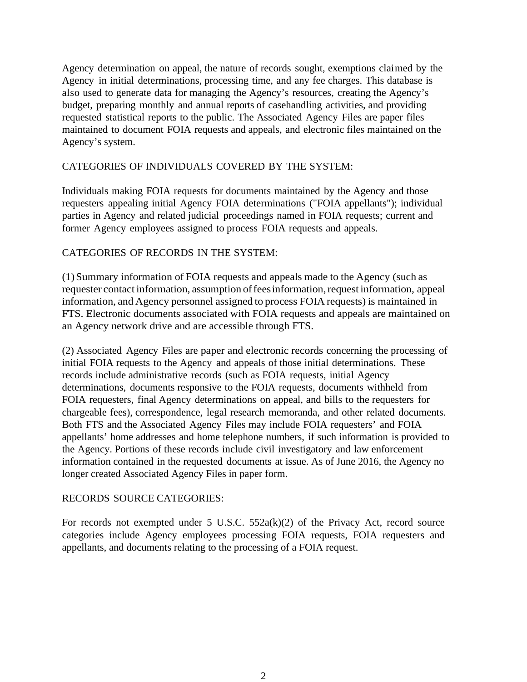Agency determination on appeal, the nature of records sought, exemptions claimed by the Agency in initial determinations, processing time, and any fee charges. This database is also used to generate data for managing the Agency's resources, creating the Agency's budget, preparing monthly and annual reports of casehandling activities, and providing requested statistical reports to the public. The Associated Agency Files are paper files maintained to document FOIA requests and appeals, and electronic files maintained on the Agency's system.

## CATEGORIES OF INDIVIDUALS COVERED BY THE SYSTEM:

Individuals making FOIA requests for documents maintained by the Agency and those requesters appealing initial Agency FOIA determinations ("FOIA appellants"); individual parties in Agency and related judicial proceedings named in FOIA requests; current and former Agency employees assigned to process FOIA requests and appeals.

## CATEGORIES OF RECORDS IN THE SYSTEM:

(1)Summary information of FOIA requests and appeals made to the Agency (such as requester contact information, assumption of fees information, request information, appeal information, and Agency personnel assigned to process FOIA requests) is maintained in FTS. Electronic documents associated with FOIA requests and appeals are maintained on an Agency network drive and are accessible through FTS.

(2) Associated Agency Files are paper and electronic records concerning the processing of initial FOIA requests to the Agency and appeals of those initial determinations. These records include administrative records (such as FOIA requests, initial Agency determinations, documents responsive to the FOIA requests, documents withheld from FOIA requesters, final Agency determinations on appeal, and bills to the requesters for chargeable fees), correspondence, legal research memoranda, and other related documents. Both FTS and the Associated Agency Files may include FOIA requesters' and FOIA appellants' home addresses and home telephone numbers, if such information is provided to the Agency. Portions of these records include civil investigatory and law enforcement information contained in the requested documents at issue. As of June 2016, the Agency no longer created Associated Agency Files in paper form.

#### RECORDS SOURCE CATEGORIES:

For records not exempted under 5 U.S.C. 552a(k)(2) of the Privacy Act, record source categories include Agency employees processing FOIA requests, FOIA requesters and appellants, and documents relating to the processing of a FOIA request.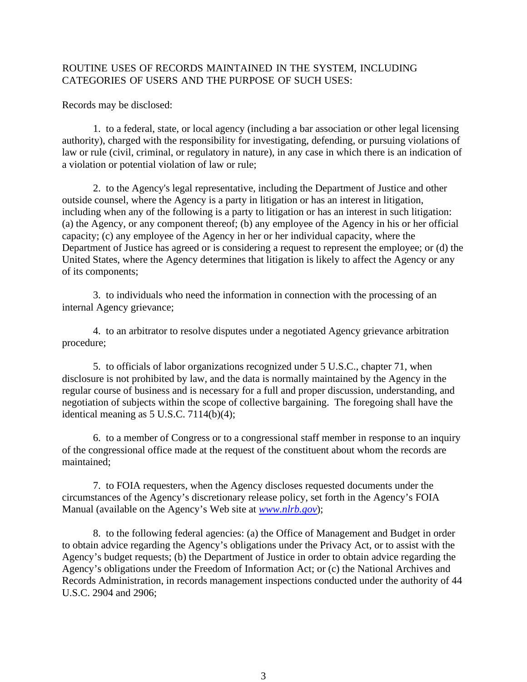### ROUTINE USES OF RECORDS MAINTAINED IN THE SYSTEM, INCLUDING CATEGORIES OF USERS AND THE PURPOSE OF SUCH USES:

Records may be disclosed:

1. to a federal, state, or local agency (including a bar association or other legal licensing authority), charged with the responsibility for investigating, defending, or pursuing violations of law or rule (civil, criminal, or regulatory in nature), in any case in which there is an indication of a violation or potential violation of law or rule;

2. to the Agency's legal representative, including the Department of Justice and other outside counsel, where the Agency is a party in litigation or has an interest in litigation, including when any of the following is a party to litigation or has an interest in such litigation: (a) the Agency, or any component thereof; (b) any employee of the Agency in his or her official capacity; (c) any employee of the Agency in her or her individual capacity, where the Department of Justice has agreed or is considering a request to represent the employee; or (d) the United States, where the Agency determines that litigation is likely to affect the Agency or any of its components;

3. to individuals who need the information in connection with the processing of an internal Agency grievance;

4. to an arbitrator to resolve disputes under a negotiated Agency grievance arbitration procedure;

5. to officials of labor organizations recognized under 5 U.S.C., chapter 71, when disclosure is not prohibited by law, and the data is normally maintained by the Agency in the regular course of business and is necessary for a full and proper discussion, understanding, and negotiation of subjects within the scope of collective bargaining. The foregoing shall have the identical meaning as  $5$  U.S.C.  $7114(b)(4)$ ;

6. to a member of Congress or to a congressional staff member in response to an inquiry of the congressional office made at the request of the constituent about whom the records are maintained;

7. to FOIA requesters, when the Agency discloses requested documents under the circumstances of the Agency's discretionary release policy, set forth in the Agency's FOIA Manual (available on the Agency's Web site at *[www.nlrb.gov](http://www.nlrb.gov/)*);

8. to the following federal agencies: (a) the Office of Management and Budget in order to obtain advice regarding the Agency's obligations under the Privacy Act, or to assist with the Agency's budget requests; (b) the Department of Justice in order to obtain advice regarding the Agency's obligations under the Freedom of Information Act; or (c) the National Archives and Records Administration, in records management inspections conducted under the authority of 44 U.S.C. 2904 and 2906;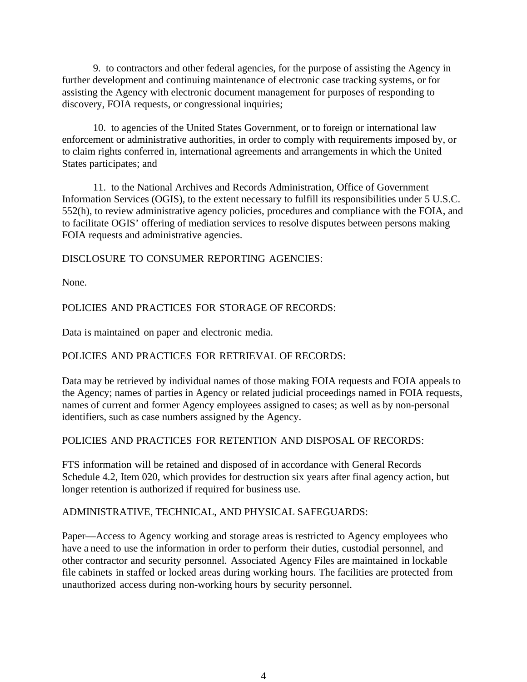9. to contractors and other federal agencies, for the purpose of assisting the Agency in further development and continuing maintenance of electronic case tracking systems, or for assisting the Agency with electronic document management for purposes of responding to discovery, FOIA requests, or congressional inquiries;

10. to agencies of the United States Government, or to foreign or international law enforcement or administrative authorities, in order to comply with requirements imposed by, or to claim rights conferred in, international agreements and arrangements in which the United States participates; and

11. to the National Archives and Records Administration, Office of Government Information Services (OGIS), to the extent necessary to fulfill its responsibilities under 5 U.S.C. 552(h), to review administrative agency policies, procedures and compliance with the FOIA, and to facilitate OGIS' offering of mediation services to resolve disputes between persons making FOIA requests and administrative agencies.

DISCLOSURE TO CONSUMER REPORTING AGENCIES:

None.

## POLICIES AND PRACTICES FOR STORAGE OF RECORDS:

Data is maintained on paper and electronic media.

#### POLICIES AND PRACTICES FOR RETRIEVAL OF RECORDS:

Data may be retrieved by individual names of those making FOIA requests and FOIA appeals to the Agency; names of parties in Agency or related judicial proceedings named in FOIA requests, names of current and former Agency employees assigned to cases; as well as by non-personal identifiers, such as case numbers assigned by the Agency.

#### POLICIES AND PRACTICES FOR RETENTION AND DISPOSAL OF RECORDS:

FTS information will be retained and disposed of in accordance with General Records Schedule 4.2, Item 020, which provides for destruction six years after final agency action, but longer retention is authorized if required for business use.

#### ADMINISTRATIVE, TECHNICAL, AND PHYSICAL SAFEGUARDS:

Paper—Access to Agency working and storage areas is restricted to Agency employees who have a need to use the information in order to perform their duties, custodial personnel, and other contractor and security personnel. Associated Agency Files are maintained in lockable file cabinets in staffed or locked areas during working hours. The facilities are protected from unauthorized access during non-working hours by security personnel.